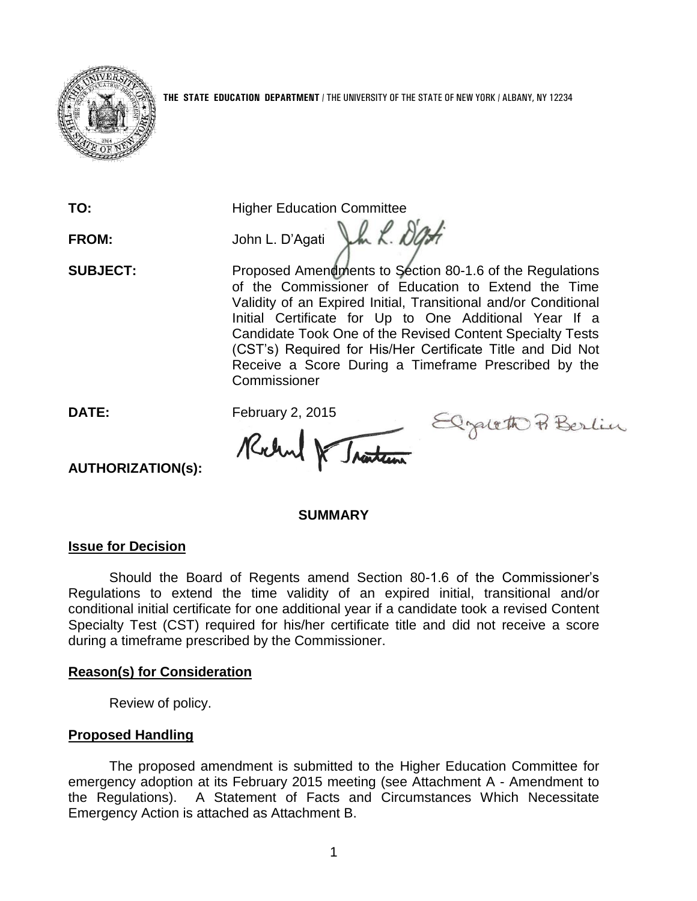

**TO:** Higher Education Committee

FROM: John L. D'Agati J.h. R. D'Art

**SUBJECT:** Proposed Amendments to Section 80-1.6 of the Regulations of the Commissioner of Education to Extend the Time Validity of an Expired Initial, Transitional and/or Conditional Initial Certificate for Up to One Additional Year If a Candidate Took One of the Revised Content Specialty Tests (CST's) Required for His/Her Certificate Title and Did Not Receive a Score During a Timeframe Prescribed by the **Commissioner** 

DATE: February 2, 2015<br> **Mellen VIAntical** 

Elgath Berlin

# **AUTHORIZATION(s):**

#### **SUMMARY**

## **Issue for Decision**

Should the Board of Regents amend Section 80-1.6 of the Commissioner's Regulations to extend the time validity of an expired initial, transitional and/or conditional initial certificate for one additional year if a candidate took a revised Content Specialty Test (CST) required for his/her certificate title and did not receive a score during a timeframe prescribed by the Commissioner.

## **Reason(s) for Consideration**

Review of policy.

## **Proposed Handling**

The proposed amendment is submitted to the Higher Education Committee for emergency adoption at its February 2015 meeting (see Attachment A - Amendment to the Regulations). A Statement of Facts and Circumstances Which Necessitate Emergency Action is attached as Attachment B.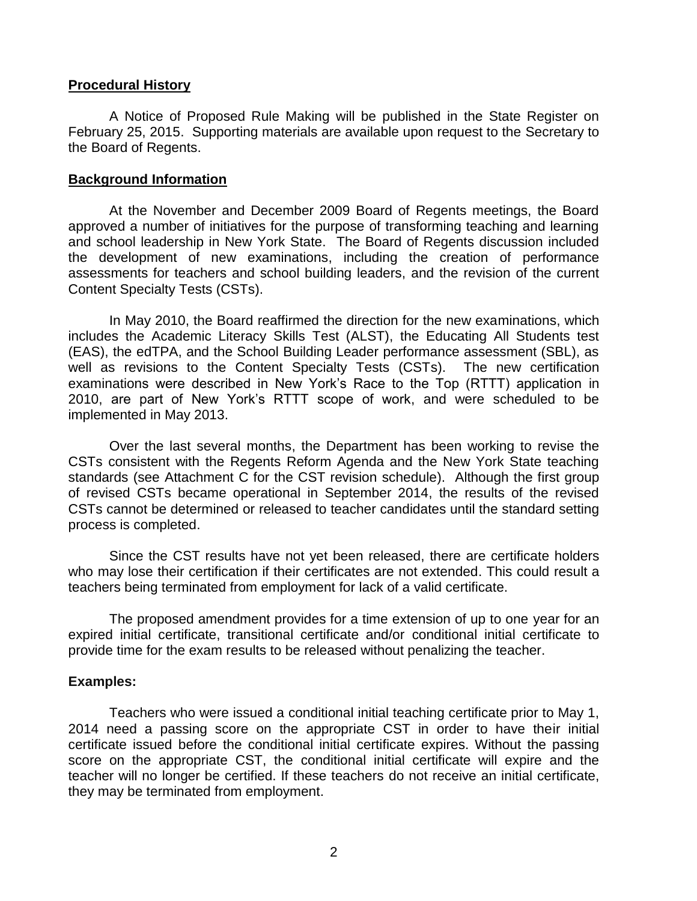#### **Procedural History**

A Notice of Proposed Rule Making will be published in the State Register on February 25, 2015. Supporting materials are available upon request to the Secretary to the Board of Regents.

#### **Background Information**

At the November and December 2009 Board of Regents meetings, the Board approved a number of initiatives for the purpose of transforming teaching and learning and school leadership in New York State. The Board of Regents discussion included the development of new examinations, including the creation of performance assessments for teachers and school building leaders, and the revision of the current Content Specialty Tests (CSTs).

In May 2010, the Board reaffirmed the direction for the new examinations, which includes the Academic Literacy Skills Test (ALST), the Educating All Students test (EAS), the edTPA, and the School Building Leader performance assessment (SBL), as well as revisions to the Content Specialty Tests (CSTs). The new certification examinations were described in New York's Race to the Top (RTTT) application in 2010, are part of New York's RTTT scope of work, and were scheduled to be implemented in May 2013.

Over the last several months, the Department has been working to revise the CSTs consistent with the Regents Reform Agenda and the New York State teaching standards (see Attachment C for the CST revision schedule). Although the first group of revised CSTs became operational in September 2014, the results of the revised CSTs cannot be determined or released to teacher candidates until the standard setting process is completed.

Since the CST results have not yet been released, there are certificate holders who may lose their certification if their certificates are not extended. This could result a teachers being terminated from employment for lack of a valid certificate.

The proposed amendment provides for a time extension of up to one year for an expired initial certificate, transitional certificate and/or conditional initial certificate to provide time for the exam results to be released without penalizing the teacher.

#### **Examples:**

Teachers who were issued a conditional initial teaching certificate prior to May 1, 2014 need a passing score on the appropriate CST in order to have their initial certificate issued before the conditional initial certificate expires. Without the passing score on the appropriate CST, the conditional initial certificate will expire and the teacher will no longer be certified. If these teachers do not receive an initial certificate, they may be terminated from employment.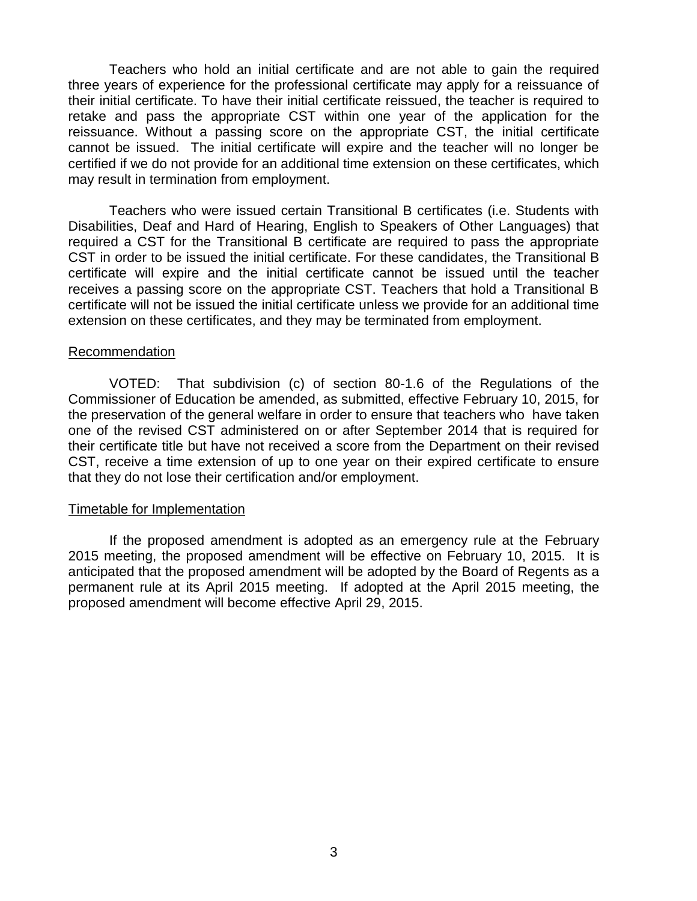Teachers who hold an initial certificate and are not able to gain the required three years of experience for the professional certificate may apply for a reissuance of their initial certificate. To have their initial certificate reissued, the teacher is required to retake and pass the appropriate CST within one year of the application for the reissuance. Without a passing score on the appropriate CST, the initial certificate cannot be issued. The initial certificate will expire and the teacher will no longer be certified if we do not provide for an additional time extension on these certificates, which may result in termination from employment.

Teachers who were issued certain Transitional B certificates (i.e. Students with Disabilities, Deaf and Hard of Hearing, English to Speakers of Other Languages) that required a CST for the Transitional B certificate are required to pass the appropriate CST in order to be issued the initial certificate. For these candidates, the Transitional B certificate will expire and the initial certificate cannot be issued until the teacher receives a passing score on the appropriate CST. Teachers that hold a Transitional B certificate will not be issued the initial certificate unless we provide for an additional time extension on these certificates, and they may be terminated from employment.

#### Recommendation

VOTED: That subdivision (c) of section 80-1.6 of the Regulations of the Commissioner of Education be amended, as submitted, effective February 10, 2015, for the preservation of the general welfare in order to ensure that teachers who have taken one of the revised CST administered on or after September 2014 that is required for their certificate title but have not received a score from the Department on their revised CST, receive a time extension of up to one year on their expired certificate to ensure that they do not lose their certification and/or employment.

#### Timetable for Implementation

If the proposed amendment is adopted as an emergency rule at the February 2015 meeting, the proposed amendment will be effective on February 10, 2015. It is anticipated that the proposed amendment will be adopted by the Board of Regents as a permanent rule at its April 2015 meeting. If adopted at the April 2015 meeting, the proposed amendment will become effective April 29, 2015.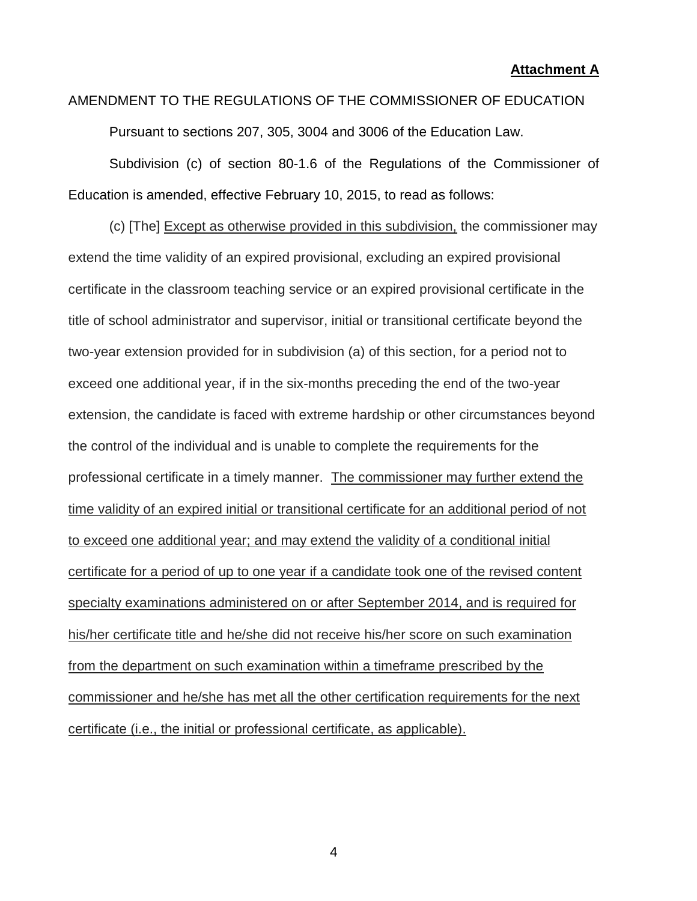**Attachment A**

# AMENDMENT TO THE REGULATIONS OF THE COMMISSIONER OF EDUCATION

Pursuant to sections 207, 305, 3004 and 3006 of the Education Law.

Subdivision (c) of section 80-1.6 of the Regulations of the Commissioner of Education is amended, effective February 10, 2015, to read as follows:

(c) [The] Except as otherwise provided in this subdivision, the commissioner may extend the time validity of an expired provisional, excluding an expired provisional certificate in the classroom teaching service or an expired provisional certificate in the title of school administrator and supervisor, initial or transitional certificate beyond the two-year extension provided for in subdivision (a) of this section, for a period not to exceed one additional year, if in the six-months preceding the end of the two-year extension, the candidate is faced with extreme hardship or other circumstances beyond the control of the individual and is unable to complete the requirements for the professional certificate in a timely manner. The commissioner may further extend the time validity of an expired initial or transitional certificate for an additional period of not to exceed one additional year; and may extend the validity of a conditional initial certificate for a period of up to one year if a candidate took one of the revised content specialty examinations administered on or after September 2014, and is required for his/her certificate title and he/she did not receive his/her score on such examination from the department on such examination within a timeframe prescribed by the commissioner and he/she has met all the other certification requirements for the next certificate (i.e., the initial or professional certificate, as applicable).

4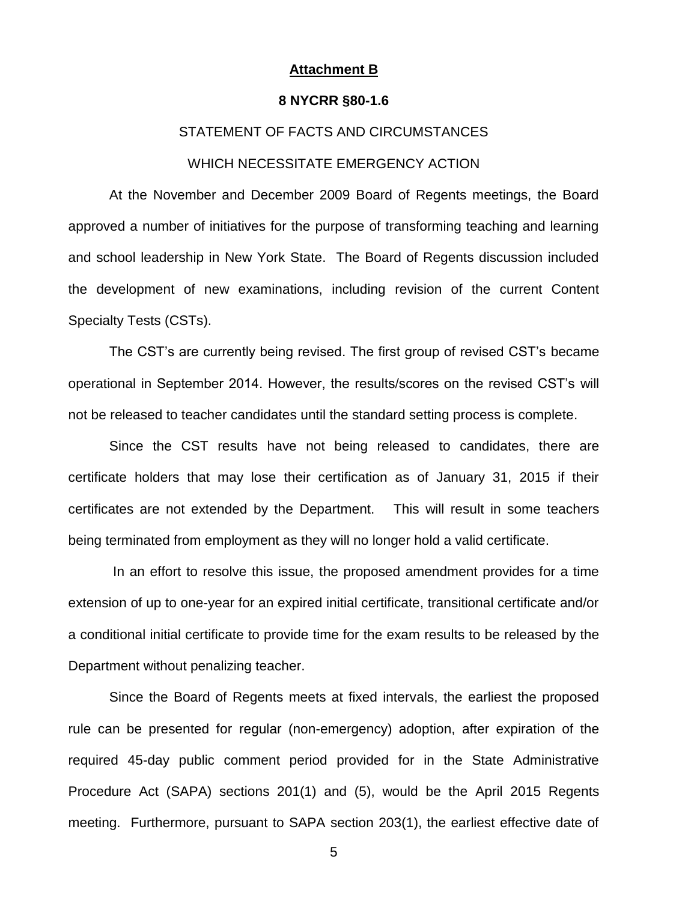#### **Attachment B**

#### **8 NYCRR §80-1.6**

#### STATEMENT OF FACTS AND CIRCUMSTANCES

#### WHICH NECESSITATE EMERGENCY ACTION

At the November and December 2009 Board of Regents meetings, the Board approved a number of initiatives for the purpose of transforming teaching and learning and school leadership in New York State. The Board of Regents discussion included the development of new examinations, including revision of the current Content Specialty Tests (CSTs).

The CST's are currently being revised. The first group of revised CST's became operational in September 2014. However, the results/scores on the revised CST's will not be released to teacher candidates until the standard setting process is complete.

Since the CST results have not being released to candidates, there are certificate holders that may lose their certification as of January 31, 2015 if their certificates are not extended by the Department. This will result in some teachers being terminated from employment as they will no longer hold a valid certificate.

In an effort to resolve this issue, the proposed amendment provides for a time extension of up to one-year for an expired initial certificate, transitional certificate and/or a conditional initial certificate to provide time for the exam results to be released by the Department without penalizing teacher.

 Since the Board of Regents meets at fixed intervals, the earliest the proposed rule can be presented for regular (non-emergency) adoption, after expiration of the required 45-day public comment period provided for in the State Administrative Procedure Act (SAPA) sections 201(1) and (5), would be the April 2015 Regents meeting. Furthermore, pursuant to SAPA section 203(1), the earliest effective date of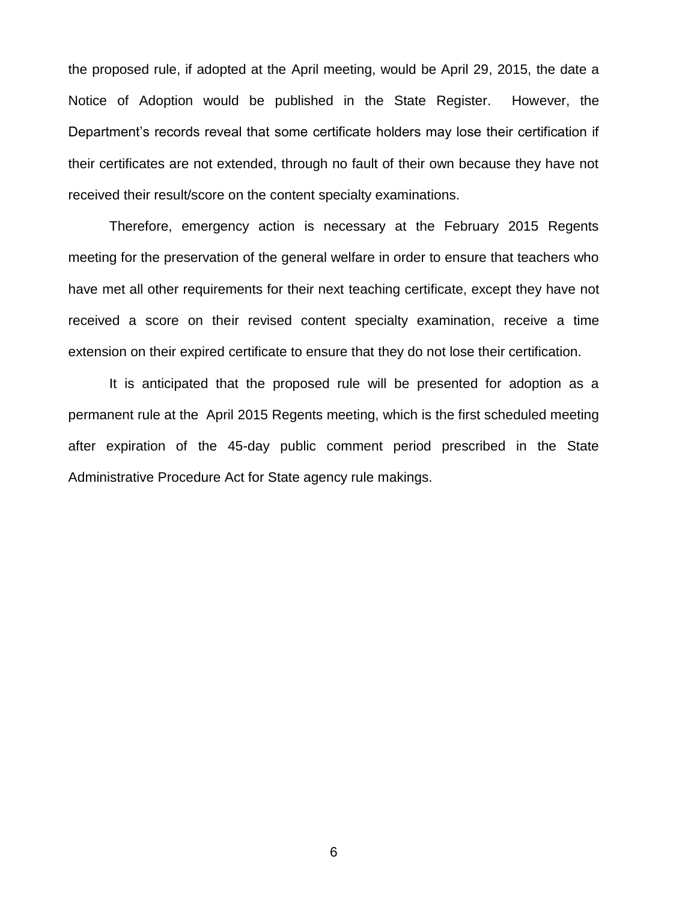the proposed rule, if adopted at the April meeting, would be April 29, 2015, the date a Notice of Adoption would be published in the State Register. However, the Department's records reveal that some certificate holders may lose their certification if their certificates are not extended, through no fault of their own because they have not received their result/score on the content specialty examinations.

Therefore, emergency action is necessary at the February 2015 Regents meeting for the preservation of the general welfare in order to ensure that teachers who have met all other requirements for their next teaching certificate, except they have not received a score on their revised content specialty examination, receive a time extension on their expired certificate to ensure that they do not lose their certification.

It is anticipated that the proposed rule will be presented for adoption as a permanent rule at the April 2015 Regents meeting, which is the first scheduled meeting after expiration of the 45-day public comment period prescribed in the State Administrative Procedure Act for State agency rule makings.

6